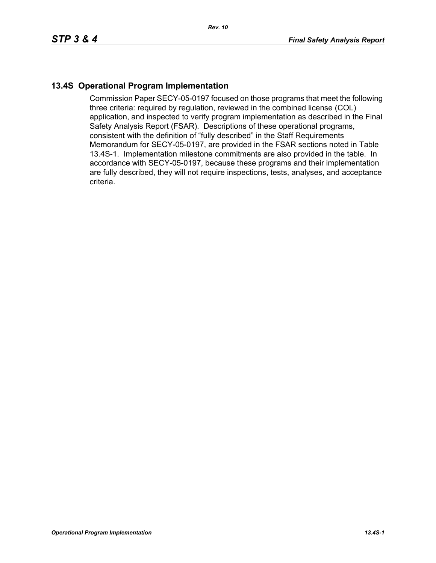## **13.4S Operational Program Implementation**

Commission Paper SECY-05-0197 focused on those programs that meet the following three criteria: required by regulation, reviewed in the combined license (COL) application, and inspected to verify program implementation as described in the Final Safety Analysis Report (FSAR). Descriptions of these operational programs, consistent with the definition of "fully described" in the Staff Requirements Memorandum for SECY-05-0197, are provided in the FSAR sections noted in Table 13.4S-1. Implementation milestone commitments are also provided in the table. In accordance with SECY-05-0197, because these programs and their implementation are fully described, they will not require inspections, tests, analyses, and acceptance criteria.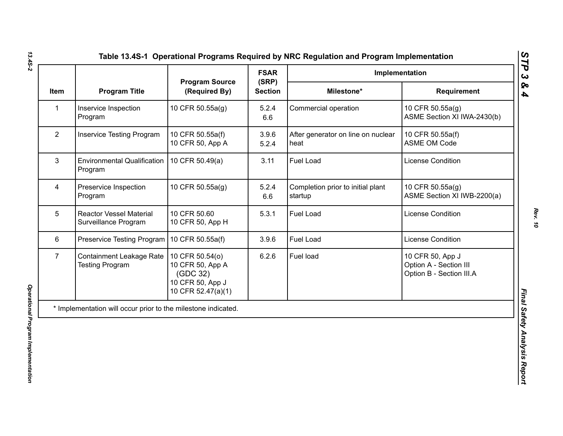| <b>Program Source</b><br><b>Program Title</b><br>(Required By)<br>Item<br>Inservice Inspection<br>10 CFR 50.55a(g)<br>$\mathbf{1}$<br>Program<br>$\overline{2}$<br><b>Inservice Testing Program</b><br>10 CFR 50.55a(f)<br>10 CFR 50, App A<br>3<br><b>Environmental Qualification</b><br>10 CFR 50.49(a)<br>Program<br>$\overline{4}$<br>Preservice Inspection<br>10 CFR 50.55a(g) | (SRP)<br><b>Section</b><br>5.2.4<br>6.6<br>3.9.6<br>5.2.4<br>3.11 | Milestone*<br>Commercial operation<br>After generator on line on nuclear<br>heat | Requirement<br>10 CFR 50.55a(g)<br>ASME Section XI IWA-2430(b)<br>10 CFR 50.55a(f)<br><b>ASME OM Code</b> |
|-------------------------------------------------------------------------------------------------------------------------------------------------------------------------------------------------------------------------------------------------------------------------------------------------------------------------------------------------------------------------------------|-------------------------------------------------------------------|----------------------------------------------------------------------------------|-----------------------------------------------------------------------------------------------------------|
|                                                                                                                                                                                                                                                                                                                                                                                     |                                                                   |                                                                                  |                                                                                                           |
|                                                                                                                                                                                                                                                                                                                                                                                     |                                                                   |                                                                                  |                                                                                                           |
|                                                                                                                                                                                                                                                                                                                                                                                     |                                                                   |                                                                                  |                                                                                                           |
|                                                                                                                                                                                                                                                                                                                                                                                     |                                                                   | <b>Fuel Load</b>                                                                 | <b>License Condition</b>                                                                                  |
| Program                                                                                                                                                                                                                                                                                                                                                                             | 5.2.4<br>6.6                                                      | Completion prior to initial plant<br>startup                                     | 10 CFR 50.55a(g)<br>ASME Section XI IWB-2200(a)                                                           |
| 5<br>10 CFR 50.60<br><b>Reactor Vessel Material</b><br>Surveillance Program<br>10 CFR 50, App H                                                                                                                                                                                                                                                                                     | 5.3.1                                                             | <b>Fuel Load</b>                                                                 | <b>License Condition</b>                                                                                  |
| 6<br>Preservice Testing Program   10 CFR 50.55a(f)                                                                                                                                                                                                                                                                                                                                  | 3.9.6                                                             | Fuel Load                                                                        | <b>License Condition</b>                                                                                  |
| $\overline{7}$<br><b>Containment Leakage Rate</b><br>10 CFR 50.54(o)<br>10 CFR 50, App A<br><b>Testing Program</b><br>(GDC 32)<br>10 CFR 50, App J<br>10 CFR 52.47(a)(1)                                                                                                                                                                                                            | 6.2.6                                                             | Fuel load                                                                        | 10 CFR 50, App J<br>Option A - Section III<br>Option B - Section III.A                                    |
| * Implementation will occur prior to the milestone indicated.                                                                                                                                                                                                                                                                                                                       |                                                                   |                                                                                  |                                                                                                           |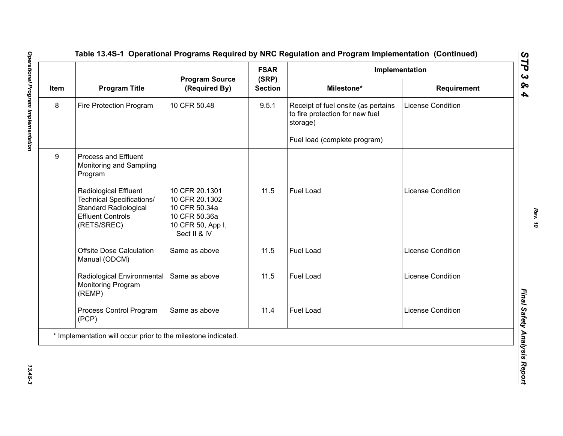|      | <b>Program Title</b>                                                                                                                        | <b>Program Source</b><br>(Required By)                                                                  | <b>FSAR</b><br>(SRP)<br><b>Section</b> | Implementation                                                                     |                          |  |
|------|---------------------------------------------------------------------------------------------------------------------------------------------|---------------------------------------------------------------------------------------------------------|----------------------------------------|------------------------------------------------------------------------------------|--------------------------|--|
| Item |                                                                                                                                             |                                                                                                         |                                        | Milestone*                                                                         | Requirement              |  |
| 8    | Fire Protection Program                                                                                                                     | 10 CFR 50.48                                                                                            | 9.5.1                                  | Receipt of fuel onsite (as pertains<br>to fire protection for new fuel<br>storage) | <b>License Condition</b> |  |
|      |                                                                                                                                             |                                                                                                         |                                        | Fuel load (complete program)                                                       |                          |  |
| 9    | <b>Process and Effluent</b><br>Monitoring and Sampling<br>Program                                                                           |                                                                                                         |                                        |                                                                                    |                          |  |
|      | <b>Radiological Effluent</b><br><b>Technical Specifications/</b><br><b>Standard Radiological</b><br><b>Effluent Controls</b><br>(RETS/SREC) | 10 CFR 20.1301<br>10 CFR 20.1302<br>10 CFR 50.34a<br>10 CFR 50.36a<br>10 CFR 50, App I,<br>Sect II & IV | 11.5                                   | <b>Fuel Load</b>                                                                   | <b>License Condition</b> |  |
|      | <b>Offsite Dose Calculation</b><br>Manual (ODCM)                                                                                            | Same as above                                                                                           | 11.5                                   | Fuel Load                                                                          | <b>License Condition</b> |  |
|      | Radiological Environmental<br>Monitoring Program<br>(REMP)                                                                                  | Same as above                                                                                           | 11.5                                   | <b>Fuel Load</b>                                                                   | <b>License Condition</b> |  |
|      | Process Control Program<br>(PCP)                                                                                                            | Same as above                                                                                           | 11.4                                   | <b>Fuel Load</b>                                                                   | <b>License Condition</b> |  |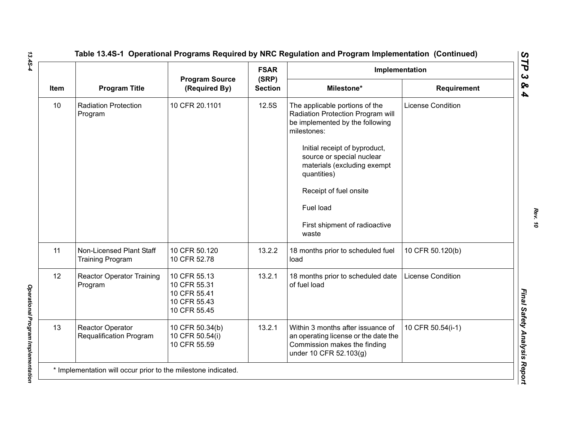|      |                                                     |                                                                              | <b>FSAR</b>             | Implementation                                                                                                                                                                                                                                                                                                     |                          |
|------|-----------------------------------------------------|------------------------------------------------------------------------------|-------------------------|--------------------------------------------------------------------------------------------------------------------------------------------------------------------------------------------------------------------------------------------------------------------------------------------------------------------|--------------------------|
| Item | <b>Program Title</b>                                | <b>Program Source</b><br>(Required By)                                       | (SRP)<br><b>Section</b> | Milestone*                                                                                                                                                                                                                                                                                                         | <b>Requirement</b>       |
| 10   | <b>Radiation Protection</b><br>Program              | 10 CFR 20.1101                                                               | 12.5S                   | The applicable portions of the<br>Radiation Protection Program will<br>be implemented by the following<br>milestones:<br>Initial receipt of byproduct,<br>source or special nuclear<br>materials (excluding exempt<br>quantities)<br>Receipt of fuel onsite<br>Fuel load<br>First shipment of radioactive<br>waste | <b>License Condition</b> |
| 11   | Non-Licensed Plant Staff<br><b>Training Program</b> | 10 CFR 50.120<br>10 CFR 52.78                                                | 13.2.2                  | 18 months prior to scheduled fuel<br>load                                                                                                                                                                                                                                                                          | 10 CFR 50.120(b)         |
| 12   | <b>Reactor Operator Training</b><br>Program         | 10 CFR 55.13<br>10 CFR 55.31<br>10 CFR 55.41<br>10 CFR 55.43<br>10 CFR 55.45 | 13.2.1                  | 18 months prior to scheduled date<br>of fuel load                                                                                                                                                                                                                                                                  | <b>License Condition</b> |
| 13   | Reactor Operator<br>Requalification Program         | 10 CFR 50.34(b)<br>10 CFR 50.54(i)<br>10 CFR 55.59                           | 13.2.1                  | Within 3 months after issuance of<br>an operating license or the date the<br>Commission makes the finding<br>under 10 CFR 52.103(g)                                                                                                                                                                                | 10 CFR 50.54(i-1)        |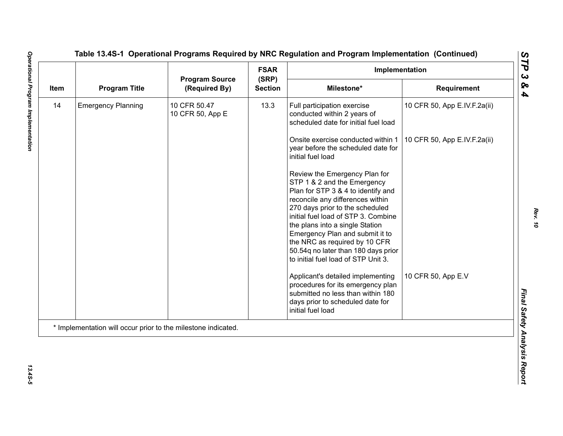|      | <b>Program Title</b>      | <b>Program Source</b><br>(Required By) | <b>FSAR</b>             | Implementation                                                                                                                                                                                                                                                                                                                                                                                        |                              |
|------|---------------------------|----------------------------------------|-------------------------|-------------------------------------------------------------------------------------------------------------------------------------------------------------------------------------------------------------------------------------------------------------------------------------------------------------------------------------------------------------------------------------------------------|------------------------------|
| Item |                           |                                        | (SRP)<br><b>Section</b> | Milestone*                                                                                                                                                                                                                                                                                                                                                                                            | Requirement                  |
| 14   | <b>Emergency Planning</b> | 10 CFR 50.47<br>10 CFR 50, App E       | 13.3                    | Full participation exercise<br>conducted within 2 years of<br>scheduled date for initial fuel load                                                                                                                                                                                                                                                                                                    | 10 CFR 50, App E.IV.F.2a(ii) |
|      |                           |                                        |                         | Onsite exercise conducted within 1<br>year before the scheduled date for<br>initial fuel load                                                                                                                                                                                                                                                                                                         | 10 CFR 50, App E.IV.F.2a(ii) |
|      |                           |                                        |                         | Review the Emergency Plan for<br>STP 1 & 2 and the Emergency<br>Plan for STP 3 & 4 to identify and<br>reconcile any differences within<br>270 days prior to the scheduled<br>initial fuel load of STP 3. Combine<br>the plans into a single Station<br>Emergency Plan and submit it to<br>the NRC as required by 10 CFR<br>50.54q no later than 180 days prior<br>to initial fuel load of STP Unit 3. |                              |
|      |                           |                                        |                         | Applicant's detailed implementing<br>procedures for its emergency plan<br>submitted no less than within 180<br>days prior to scheduled date for<br>initial fuel load                                                                                                                                                                                                                                  | 10 CFR 50, App E.V           |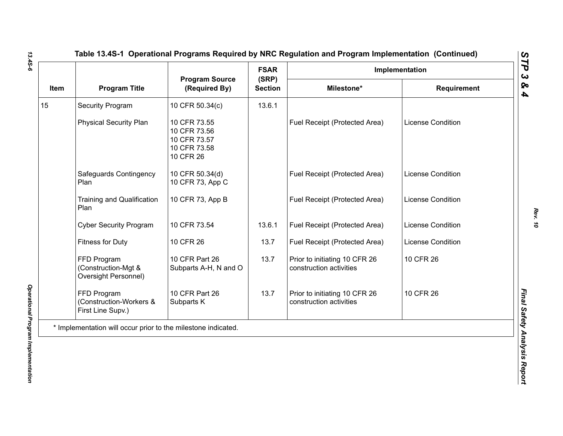| Item | <b>Program Title</b>                                          | <b>Program Source</b><br>(Required By)                                    | <b>FSAR</b><br>(SRP) | Implementation                                           |                          |
|------|---------------------------------------------------------------|---------------------------------------------------------------------------|----------------------|----------------------------------------------------------|--------------------------|
|      |                                                               |                                                                           | <b>Section</b>       | Milestone*                                               | <b>Requirement</b>       |
| 15   | <b>Security Program</b>                                       | 10 CFR 50.34(c)                                                           | 13.6.1               |                                                          |                          |
|      | <b>Physical Security Plan</b>                                 | 10 CFR 73.55<br>10 CFR 73.56<br>10 CFR 73.57<br>10 CFR 73.58<br>10 CFR 26 |                      | Fuel Receipt (Protected Area)                            | <b>License Condition</b> |
|      | Safeguards Contingency<br>Plan                                | 10 CFR 50.34(d)<br>10 CFR 73, App C                                       |                      | Fuel Receipt (Protected Area)                            | <b>License Condition</b> |
|      | <b>Training and Qualification</b><br>Plan                     | 10 CFR 73, App B                                                          |                      | Fuel Receipt (Protected Area)                            | <b>License Condition</b> |
|      | <b>Cyber Security Program</b>                                 | 10 CFR 73.54                                                              | 13.6.1               | Fuel Receipt (Protected Area)                            | <b>License Condition</b> |
|      | <b>Fitness for Duty</b>                                       | 10 CFR 26                                                                 | 13.7                 | Fuel Receipt (Protected Area)                            | License Condition        |
|      | FFD Program<br>(Construction-Mgt &<br>Oversight Personnel)    | 10 CFR Part 26<br>Subparts A-H, N and O                                   | 13.7                 | Prior to initiating 10 CFR 26<br>construction activities | 10 CFR 26                |
|      | FFD Program<br>(Construction-Workers &<br>First Line Supv.)   | 10 CFR Part 26<br>Subparts K                                              | 13.7                 | Prior to initiating 10 CFR 26<br>construction activities | 10 CFR 26                |
|      | * Implementation will occur prior to the milestone indicated. |                                                                           |                      |                                                          |                          |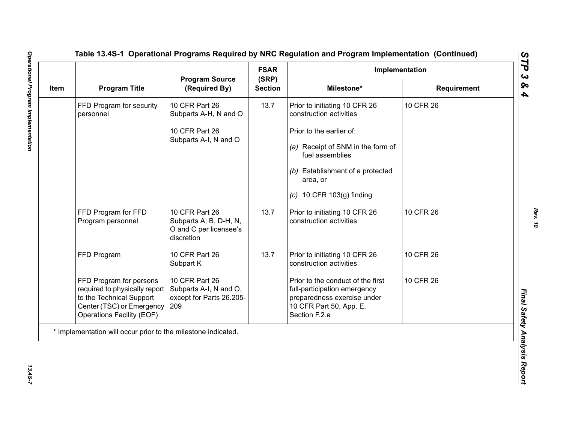| Item | <b>Program Title</b>                                                                                                                           | <b>Program Source</b><br>(Required By)                                           | <b>FSAR</b>             | Implementation                                                                                                                               |             |  |
|------|------------------------------------------------------------------------------------------------------------------------------------------------|----------------------------------------------------------------------------------|-------------------------|----------------------------------------------------------------------------------------------------------------------------------------------|-------------|--|
|      |                                                                                                                                                |                                                                                  | (SRP)<br><b>Section</b> | Milestone*                                                                                                                                   | Requirement |  |
|      | FFD Program for security<br>personnel                                                                                                          | 10 CFR Part 26<br>Subparts A-H, N and O                                          | 13.7                    | Prior to initiating 10 CFR 26<br>construction activities                                                                                     | 10 CFR 26   |  |
|      |                                                                                                                                                | 10 CFR Part 26                                                                   |                         | Prior to the earlier of:                                                                                                                     |             |  |
|      |                                                                                                                                                | Subparts A-I, N and O                                                            |                         | (a) Receipt of SNM in the form of<br>fuel assemblies                                                                                         |             |  |
|      |                                                                                                                                                |                                                                                  |                         | (b) Establishment of a protected<br>area, or                                                                                                 |             |  |
|      |                                                                                                                                                |                                                                                  |                         | $(c)$ 10 CFR 103 $(g)$ finding                                                                                                               |             |  |
|      | FFD Program for FFD<br>Program personnel                                                                                                       | 10 CFR Part 26<br>Subparts A, B, D-H, N,<br>O and C per licensee's<br>discretion | 13.7                    | Prior to initiating 10 CFR 26<br>construction activities                                                                                     | 10 CFR 26   |  |
|      | FFD Program                                                                                                                                    | 10 CFR Part 26<br>Subpart K                                                      | 13.7                    | Prior to initiating 10 CFR 26<br>construction activities                                                                                     | 10 CFR 26   |  |
|      | FFD Program for persons<br>required to physically report<br>to the Technical Support<br>Center (TSC) or Emergency<br>Operations Facility (EOF) | 10 CFR Part 26<br>Subparts A-I, N and O,<br>except for Parts 26.205-<br>209      |                         | Prior to the conduct of the first<br>full-participation emergency<br>preparedness exercise under<br>10 CFR Part 50, App. E,<br>Section F.2.a | 10 CFR 26   |  |
|      | * Implementation will occur prior to the milestone indicated.                                                                                  |                                                                                  |                         |                                                                                                                                              |             |  |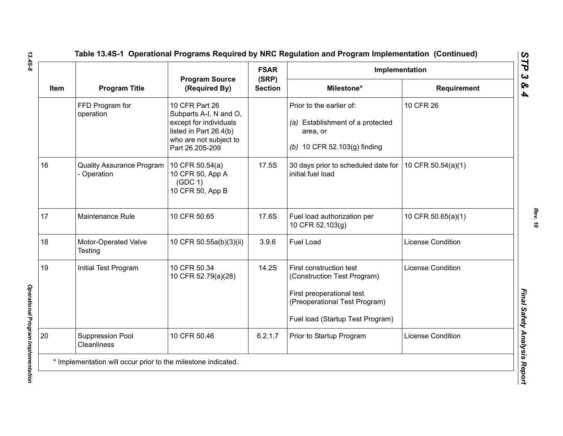|      |                                               |                                                                                                                                           | <b>FSAR</b>             | Implementation                                                                                                                                           |                          |
|------|-----------------------------------------------|-------------------------------------------------------------------------------------------------------------------------------------------|-------------------------|----------------------------------------------------------------------------------------------------------------------------------------------------------|--------------------------|
| Item | <b>Program Title</b>                          | <b>Program Source</b><br>(Required By)                                                                                                    | (SRP)<br><b>Section</b> | Milestone*                                                                                                                                               | <b>Requirement</b>       |
|      | FFD Program for<br>operation                  | 10 CFR Part 26<br>Subparts A-I, N and O,<br>except for individuals<br>listed in Part 26.4(b)<br>who are not subject to<br>Part 26.205-209 |                         | Prior to the earlier of:<br>(a) Establishment of a protected<br>area, or<br>(b) 10 CFR 52.103(g) finding                                                 | 10 CFR 26                |
| 16   | <b>Quality Assurance Program</b><br>Operation | 10 CFR 50.54(a)<br>10 CFR 50, App A<br>(GDC 1)<br>10 CFR 50, App B                                                                        | 17.5S                   | 30 days prior to scheduled date for   10 CFR 50.54(a)(1)<br>initial fuel load                                                                            |                          |
| 17   | Maintenance Rule                              | 10 CFR 50.65                                                                                                                              | 17.6S                   | Fuel load authorization per<br>10 CFR 52.103(g)                                                                                                          | 10 CFR 50.65(a)(1)       |
| 18   | Motor-Operated Valve<br>Testing               | 10 CFR 50.55a(b)(3)(ii)                                                                                                                   | 3.9.6                   | <b>Fuel Load</b>                                                                                                                                         | <b>License Condition</b> |
| 19   | Initial Test Program                          | 10 CFR 50.34<br>10 CFR 52.79(a)(28)                                                                                                       | 14.2S                   | First construction test<br>(Construction Test Program)<br>First preoperational test<br>(Preoperational Test Program)<br>Fuel load (Startup Test Program) | <b>License Condition</b> |
| 20   | <b>Suppression Pool</b><br><b>Cleanliness</b> | 10 CFR 50.46                                                                                                                              | 6.2.1.7                 | Prior to Startup Program                                                                                                                                 | <b>License Condition</b> |